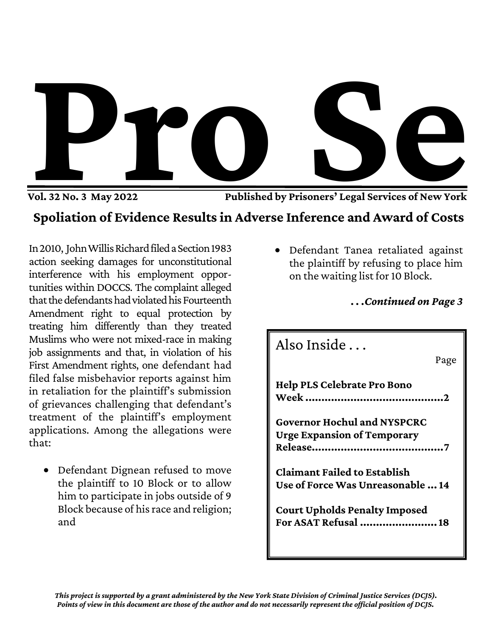

**Vol. 32 No. 3 May 2022 Published by Prisoners' Legal Services of New York**

### **Spoliation of Evidence Results in Adverse Inference and Award of Costs**

In 2010, John Willis Richard filed a Section 1983 action seeking damages for unconstitutional interference with his employment opportunities within DOCCS. The complaint alleged that the defendants had violated his Fourteenth Amendment right to equal protection by treating him differently than they treated Muslims who were not mixed-race in making job assignments and that, in violation of his First Amendment rights, one defendant had filed false misbehavior reports against him in retaliation for the plaintiff's submission of grievances challenging that defendant's treatment of the plaintiff's employment applications. Among the allegations were that:

• Defendant Dignean refused to move the plaintiff to 10 Block or to allow him to participate in jobs outside of 9 Block because of his race and religion; and

• Defendant Tanea retaliated against the plaintiff by refusing to place him on the waiting list for 10 Block.

*. . .Continued on Page 3*

| Also Inside                                                              |      |
|--------------------------------------------------------------------------|------|
|                                                                          | Page |
| Help PLS Celebrate Pro Bono                                              |      |
| <b>Governor Hochul and NYSPCRC</b><br><b>Urge Expansion of Temporary</b> |      |
| <b>Claimant Failed to Establish</b><br>Use of Force Was Unreasonable  14 |      |
| <b>Court Upholds Penalty Imposed</b><br>For ASAT Refusal 18              |      |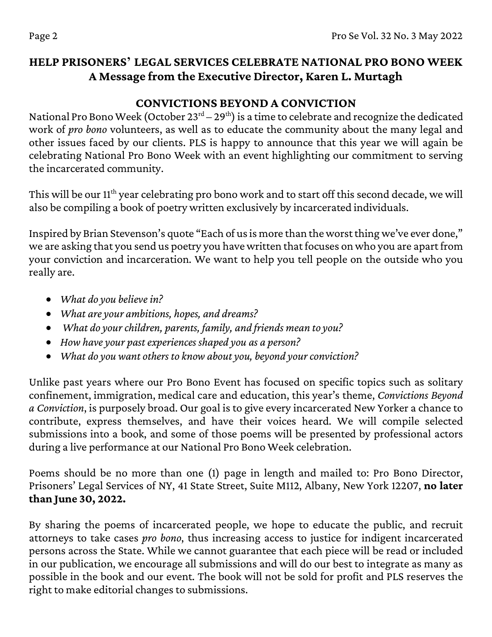### **HELP PRISONERS' LEGAL SERVICES CELEBRATE NATIONAL PRO BONO WEEK A Message from the Executive Director, Karen L. Murtagh**

### **CONVICTIONS BEYOND A CONVICTION**

National Pro Bono Week (October  $23<sup>rd</sup> - 29<sup>th</sup>$ ) is a time to celebrate and recognize the dedicated work of *pro bono* volunteers, as well as to educate the community about the many legal and other issues faced by our clients. PLS is happy to announce that this year we will again be celebrating National Pro Bono Week with an event highlighting our commitment to serving the incarcerated community.

This will be our 11<sup>th</sup> year celebrating pro bono work and to start off this second decade, we will also be compiling a book of poetry written exclusively by incarcerated individuals.

Inspired by Brian Stevenson's quote "Each of us is more than the worst thing we've ever done," we are asking that you send us poetry you have written that focuses on who you are apart from your conviction and incarceration. We want to help you tell people on the outside who you really are.

- *What do you believein?*
- *What are your ambitions, hopes, and dreams?*
- *What do your children, parents, family, and friends mean to you?*
- *How have your pastexperiences shaped you as a person?*
- *What do you want others to know about you, beyond yourconviction?*

Unlike past years where our Pro Bono Event has focused on specific topics such as solitary confinement, immigration, medical care and education, this year's theme, *Convictions Beyond a Conviction*, is purposely broad. Our goal isto give every incarcerated New Yorker a chance to contribute, express themselves, and have their voices heard. We will compile selected submissions into a book, and some of those poems will be presented by professional actors during a live performance at our National Pro Bono Week celebration.

Poems should be no more than one (1) page in length and mailed to: Pro Bono Director, Prisoners' Legal Services of NY, 41 State Street, Suite M112, Albany, New York 12207, **no later than June 30, 2022.**

By sharing the poems of incarcerated people, we hope to educate the public, and recruit attorneys to take cases *pro bono*, thus increasing access to justice for indigent incarcerated persons across the State. While we cannot guarantee that each piece will be read or included in our publication, we encourage all submissions and will do our best to integrate as many as possible in the book and our event. The book will not be sold for profit and PLS reserves the right to make editorial changes to submissions.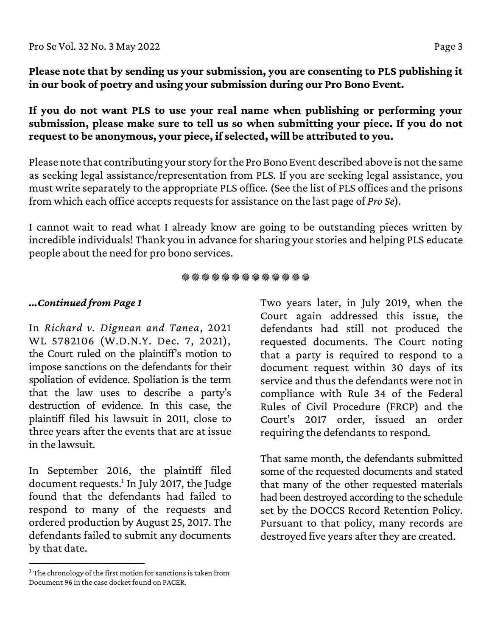**Please note that by sending us your submission, you are consenting to PLS publishing it in our book of poetry and using your submission during our Pro Bono Event.** 

**If you do not want PLS to use your real name when publishing or performing your submission, please make sure to tell us so when submitting your piece. If you do not request to be anonymous, your piece, if selected, will be attributed to you.** 

Please note that contributing your story for the Pro Bono Event described above is not the same as seeking legal assistance/representation from PLS. If you are seeking legal assistance, you must write separately to the appropriate PLS office. (See the list of PLS offices and the prisons from which each office accepts requestsfor assistance on the last page of *Pro Se*).

I cannot wait to read what I already know are going to be outstanding pieces written by incredible individuals! Thank you in advance for sharing your stories and helping PLS educate people about the need for pro bono services.

#### 豢豢豢豢豢豢豢豢豢卷豢豢

#### *…Continued from Page 1*

In *Richard v. Dignean and Tanea*, 2021 WL 5782106 (W.D.N.Y. Dec. 7, 2021), the Court ruled on the plaintiff's motion to impose sanctions on the defendants for their spoliation of evidence. Spoliation is the term that the law uses to describe a party's destruction of evidence. In this case, the plaintiff filed his lawsuit in 2011, close to three years after the events that are at issue in the lawsuit.

In September 2016, the plaintiff filed document requests.<sup>1</sup> In July 2017, the Judge found that the defendants had failed to respond to many of the requests and ordered production by August 25, 2017. The defendants failed to submit any documents by that date.

 $\overline{a}$ 

Two years later, in July 2019, when the Court again addressed this issue, the defendants had still not produced the requested documents. The Court noting that a party is required to respond to a document request within 30 days of its service and thus the defendants were not in compliance with Rule 34 of the Federal Rules of Civil Procedure (FRCP) and the Court's 2017 order, issued an order requiring the defendants to respond.

That same month, the defendants submitted some of the requested documents and stated that many of the other requested materials had been destroyed according to the schedule set by the DOCCS Record Retention Policy. Pursuant to that policy, many records are destroyed five years after they are created.

<sup>&</sup>lt;sup>1</sup> The chronology of the first motion for sanctions is taken from Document 96 in the case docket found on PACER.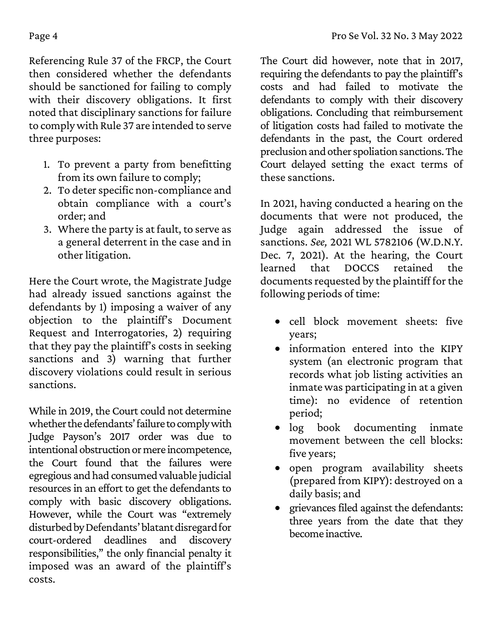Referencing Rule 37 of the FRCP, the Court then considered whether the defendants should be sanctioned for failing to comply with their discovery obligations. It first noted that disciplinary sanctions for failure to comply with Rule 37 are intended to serve three purposes:

- 1. To prevent a party from benefitting from its own failure to comply;
- 2. To deter specific non-compliance and obtain compliance with a court's order; and
- 3. Where the party is at fault, to serve as a general deterrent in the case and in other litigation.

Here the Court wrote, the Magistrate Judge had already issued sanctions against the defendants by 1) imposing a waiver of any objection to the plaintiff's Document Request and Interrogatories, 2) requiring that they pay the plaintiff's costs in seeking sanctions and 3) warning that further discovery violations could result in serious sanctions.

While in 2019, the Court could not determine whether the defendants' failure to comply with Judge Payson's 2017 order was due to intentional obstruction or mere incompetence, the Court found that the failures were egregious and had consumed valuable judicial resources in an effort to get the defendants to comply with basic discovery obligations. However, while the Court was "extremely disturbed by Defendants' blatant disregard for court-ordered deadlines and discovery responsibilities," the only financial penalty it imposed was an award of the plaintiff's costs.

The Court did however, note that in 2017, requiring the defendants to pay the plaintiff's costs and had failed to motivate the defendants to comply with their discovery obligations. Concluding that reimbursement of litigation costs had failed to motivate the defendants in the past, the Court ordered preclusion and other spoliation sanctions. The Court delayed setting the exact terms of these sanctions.

In 2021, having conducted a hearing on the documents that were not produced, the Judge again addressed the issue of sanctions. *See,* 2021 WL 5782106 (W.D.N.Y. Dec. 7, 2021). At the hearing, the Court learned that DOCCS retained the documents requested by the plaintiff for the following periods of time:

- cell block movement sheets: five years;
- information entered into the KIPY system (an electronic program that records what job listing activities an inmate was participating in at a given time): no evidence of retention period;
- log book documenting inmate movement between the cell blocks: five years;
- open program availability sheets (prepared from KIPY): destroyed on a daily basis; and
- grievances filed against the defendants: three years from the date that they become inactive.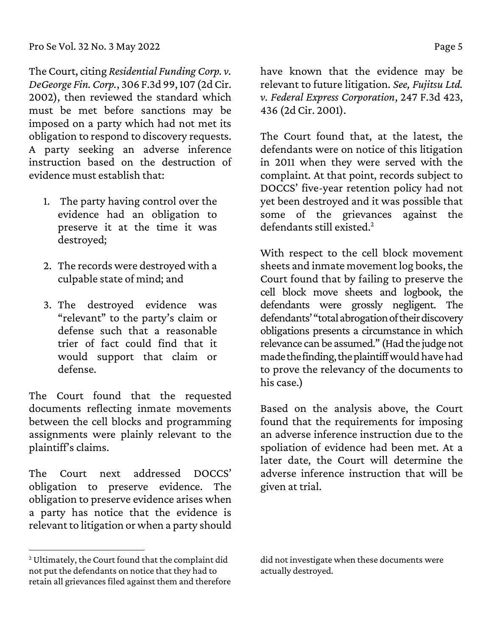The Court, citing *Residential Funding Corp. v. DeGeorge Fin. Corp.*, 306 F.3d 99, 107 (2d Cir. 2002), then reviewed the standard which must be met before sanctions may be imposed on a party which had not met its obligation to respond to discovery requests. A party seeking an adverse inference instruction based on the destruction of evidence must establish that:

- 1. The party having control over the evidence had an obligation to preserve it at the time it was destroyed;
- 2. The records were destroyed with a culpable state of mind; and
- 3. The destroyed evidence was "relevant" to the party's claim or defense such that a reasonable trier of fact could find that it would support that claim or defense.

The Court found that the requested documents reflecting inmate movements between the cell blocks and programming assignments were plainly relevant to the plaintiff's claims.

The Court next addressed DOCCS' obligation to preserve evidence. The obligation to preserve evidence arises when a party has notice that the evidence is relevant to litigation or when a party should

 $\overline{a}$ 

have known that the evidence may be relevant to future litigation. *See, Fujitsu Ltd. v. Federal Express Corporation*, 247 F.3d 423, 436 (2d Cir. 2001).

The Court found that, at the latest, the defendants were on notice of this litigation in 2011 when they were served with the complaint. At that point, records subject to DOCCS' five-year retention policy had not yet been destroyed and it was possible that some of the grievances against the defendants still existed.<sup>2</sup>

With respect to the cell block movement sheets and inmate movement log books, the Court found that by failing to preserve the cell block move sheets and logbook, the defendants were grossly negligent. The defendants' "total abrogation of their discovery obligations presents a circumstance in which relevance can be assumed." (Had the judge not made the finding, the plaintiffwould have had to prove the relevancy of the documents to his case.)

Based on the analysis above, the Court found that the requirements for imposing an adverse inference instruction due to the spoliation of evidence had been met. At a later date, the Court will determine the adverse inference instruction that will be given at trial.

<sup>2</sup> Ultimately, the Court found that the complaint did not put the defendants on notice that they had to retain all grievances filed against them and therefore

did not investigate when these documents were actually destroyed.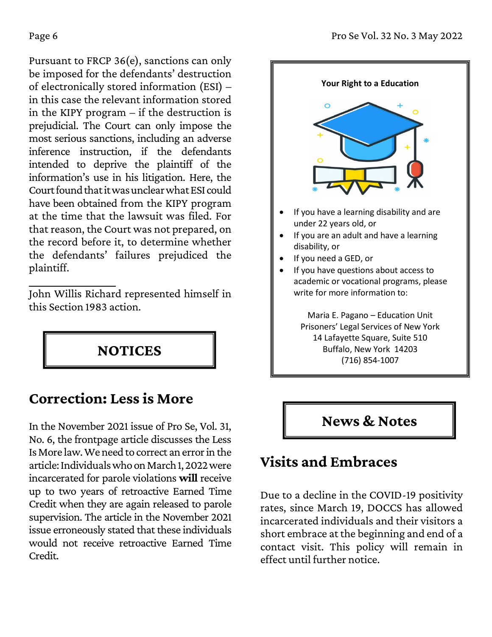Pursuant to FRCP 36(e), sanctions can only be imposed for the defendants' destruction of electronically stored information (ESI) – in this case the relevant information stored in the KIPY program – if the destruction is prejudicial. The Court can only impose the most serious sanctions, including an adverse inference instruction, if the defendants intended to deprive the plaintiff of the information's use in his litigation. Here, the Court found that it was unclear what ESI could have been obtained from the KIPY program at the time that the lawsuit was filed. For that reason, the Court was not prepared, on the record before it, to determine whether the defendants' failures prejudiced the plaintiff.

John Willis Richard represented himself in this Section 1983 action.



## **Correction: Less is More**

In the November 2021 issue of Pro Se, Vol. 31, No. 6, the frontpage article discusses the Less Is More law. We need to correct an error in the article: Individuals who on March 1, 2022 were incarcerated for parole violations **will** receive up to two years of retroactive Earned Time Credit when they are again released to parole supervision. The article in the November 2021 issue erroneously stated that these individuals would not receive retroactive Earned Time Credit.



### **News & Notes**

## **Visits and Embraces**

Due to a decline in the COVID-19 positivity rates, since March 19, DOCCS has allowed incarcerated individuals and their visitors a short embrace at the beginning and end of a contact visit. This policy will remain in effect until further notice.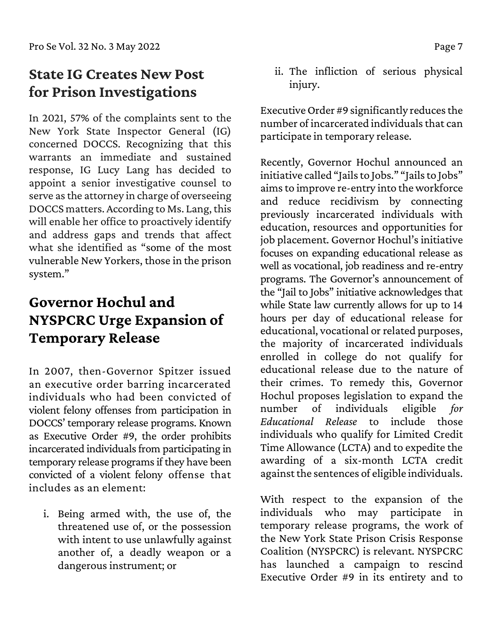## **State IG Creates New Post for Prison Investigations**

In 2021, 57% of the complaints sent to the New York State Inspector General (IG) concerned DOCCS. Recognizing that this warrants an immediate and sustained response, IG Lucy Lang has decided to appoint a senior investigative counsel to serve as the attorney in charge of overseeing DOCCS matters. According to Ms. Lang, this will enable her office to proactively identify and address gaps and trends that affect what she identified as "some of the most vulnerable New Yorkers, those in the prison system."

# **Governor Hochul and NYSPCRC Urge Expansion of Temporary Release**

In 2007, then-Governor Spitzer issued an executive order barring incarcerated individuals who had been convicted of violent felony offenses from participation in DOCCS' temporary release programs. Known as Executive Order #9, the order prohibits incarcerated individuals from participating in temporary release programs if they have been convicted of a violent felony offense that includes as an element:

i. Being armed with, the use of, the threatened use of, or the possession with intent to use unlawfully against another of, a deadly weapon or a dangerous instrument; or

ii. The infliction of serious physical injury.

Executive Order #9 significantly reduces the number of incarcerated individuals that can participate in temporary release.

Recently, Governor Hochul announced an initiative called "Jails to Jobs." "Jails to Jobs" aims to improve re-entry into the workforce and reduce recidivism by connecting previously incarcerated individuals with education, resources and opportunities for job placement. Governor Hochul's initiative focuses on expanding educational release as well as vocational, job readiness and re-entry programs. The Governor's announcement of the "Jail to Jobs" initiative acknowledges that while State law currently allows for up to 14 hours per day of educational release for educational, vocational or related purposes, the majority of incarcerated individuals enrolled in college do not qualify for educational release due to the nature of their crimes. To remedy this, Governor Hochul proposes legislation to expand the number of individuals eligible *for Educational Release* to include those individuals who qualify for Limited Credit Time Allowance (LCTA) and to expedite the awarding of a six-month LCTA credit against the sentences of eligible individuals.

With respect to the expansion of the individuals who may participate in temporary release programs, the work of the New York State Prison Crisis Response Coalition (NYSPCRC) is relevant. NYSPCRC has launched a campaign to rescind Executive Order #9 in its entirety and to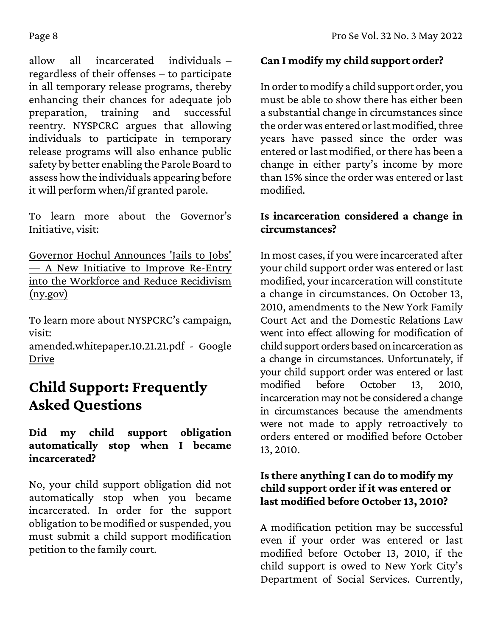allow all incarcerated individuals – regardless of their offenses – to participate in all temporary release programs, thereby enhancing their chances for adequate job preparation, training and successful reentry. NYSPCRC argues that allowing individuals to participate in temporary release programs will also enhance public safety by better enabling the Parole Board to assess how the individuals appearing before it will perform when/if granted parole.

To learn more about the Governor's Initiative, visit:

[Governor Hochul Announces 'Jails to Jobs'](https://www.governor.ny.gov/news/governor-hochul-announces-jails-jobs-new-initiative-improve-re-entry-workforce-and-reduce)  — [A New Initiative to Improve Re-Entry](https://www.governor.ny.gov/news/governor-hochul-announces-jails-jobs-new-initiative-improve-re-entry-workforce-and-reduce)  [into the Workforce and Reduce Recidivism](https://www.governor.ny.gov/news/governor-hochul-announces-jails-jobs-new-initiative-improve-re-entry-workforce-and-reduce)  [\(ny.gov\)](https://www.governor.ny.gov/news/governor-hochul-announces-jails-jobs-new-initiative-improve-re-entry-workforce-and-reduce)

To learn more about NYSPCRC's campaign, visit:

[amended.whitepaper.10.21.21.pdf -](https://drive.google.com/file/d/1hMmXFlHAqnld_Ib7qqeVhe2nhfHRZ5CA/view) Google [Drive](https://drive.google.com/file/d/1hMmXFlHAqnld_Ib7qqeVhe2nhfHRZ5CA/view)

# **Child Support: Frequently Asked Questions**

#### **Did my child support obligation automatically stop when I became incarcerated?**

No, your child support obligation did not automatically stop when you became incarcerated. In order for the support obligation to be modified or suspended, you must submit a child support modification petition to the family court.

### **Can I modify my child support order?**

In order to modify a child support order, you must be able to show there has either been a substantial change in circumstances since the order was entered or last modified, three years have passed since the order was entered or last modified, or there has been a change in either party's income by more than 15% since the order was entered or last modified.

#### **Is incarceration considered a change in circumstances?**

In most cases, if you were incarcerated after your child support order was entered or last modified, your incarceration will constitute a change in circumstances. On October 13, 2010, amendments to the New York Family Court Act and the Domestic Relations Law went into effect allowing for modification of child support orders based on incarceration as a change in circumstances. Unfortunately, if your child support order was entered or last modified before October 13, 2010, incarceration may not be considered a change in circumstances because the amendments were not made to apply retroactively to orders entered or modified before October 13, 2010.

### **Is there anything I can do to modify my child support order if it was entered or last modified before October 13, 2010?**

A modification petition may be successful even if your order was entered or last modified before October 13, 2010, if the child support is owed to New York City's Department of Social Services. Currently,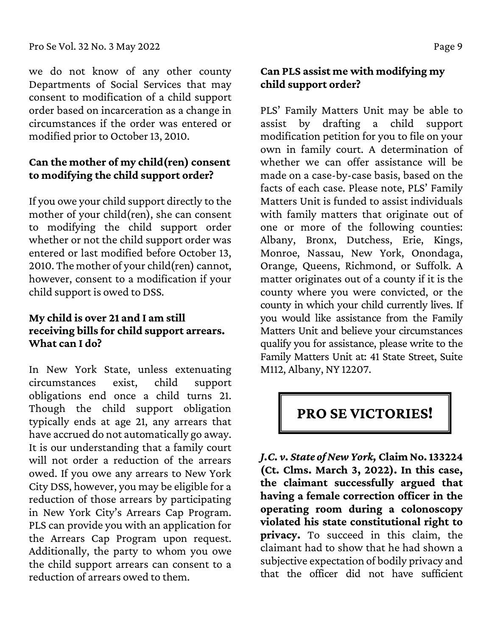we do not know of any other county Departments of Social Services that may consent to modification of a child support order based on incarceration as a change in circumstances if the order was entered or modified prior to October 13, 2010.

#### **Can the mother of my child(ren) consent to modifying the child support order?**

If you owe your child support directly to the mother of your child(ren), she can consent to modifying the child support order whether or not the child support order was entered or last modified before October 13, 2010. The mother of your child(ren) cannot, however, consent to a modification if your child support is owed to DSS.

#### **My child is over 21 and I am still receiving bills for child support arrears. What can I do?**

In New York State, unless extenuating circumstances exist, child support obligations end once a child turns 21. Though the child support obligation typically ends at age 21, any arrears that have accrued do not automatically go away. It is our understanding that a family court will not order a reduction of the arrears owed. If you owe any arrears to New York City DSS, however, you may be eligible for a reduction of those arrears by participating in New York City's Arrears Cap Program. PLS can provide you with an application for the Arrears Cap Program upon request. Additionally, the party to whom you owe the child support arrears can consent to a reduction of arrears owed to them.

#### **Can PLS assist me with modifying my child support order?**

PLS' Family Matters Unit may be able to assist by drafting a child support modification petition for you to file on your own in family court. A determination of whether we can offer assistance will be made on a case-by-case basis, based on the facts of each case. Please note, PLS' Family Matters Unit is funded to assist individuals with family matters that originate out of one or more of the following counties: Albany, Bronx, Dutchess, Erie, Kings, Monroe, Nassau, New York, Onondaga, Orange, Queens, Richmond, or Suffolk. A matter originates out of a county if it is the county where you were convicted, or the county in which your child currently lives. If you would like assistance from the Family Matters Unit and believe your circumstances qualify you for assistance, please write to the Family Matters Unit at: 41 State Street, Suite M112, Albany, NY 12207.

### **PRO SE VICTORIES!**

*J.C. v. State of New York,* **Claim No. 133224 (Ct. Clms. March 3, 2022). In this case, the claimant successfully argued that having a female correction officer in the operating room during a colonoscopy violated his state constitutional right to privacy.** To succeed in this claim, the claimant had to show that he had shown a subjective expectation of bodily privacy and that the officer did not have sufficient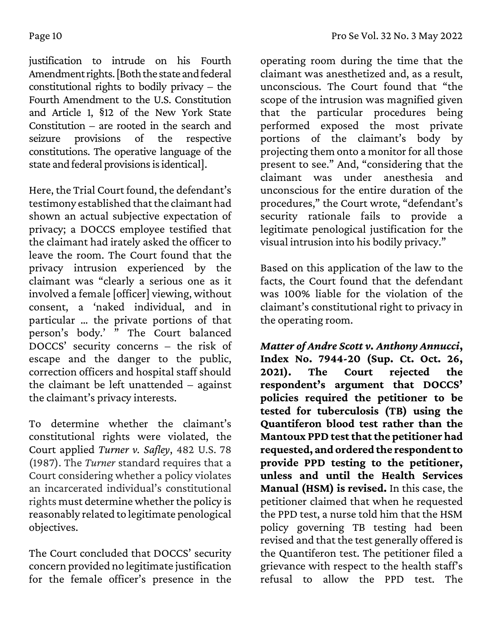justification to intrude on his Fourth Amendment rights. [Both the state and federal constitutional rights to bodily privacy – the Fourth Amendment to the U.S. Constitution and Article 1, §12 of the New York State Constitution – are rooted in the search and seizure provisions of the respective constitutions. The operative language of the state and federal provisions is identical].

Here, the Trial Court found, the defendant's testimony established that the claimant had shown an actual subjective expectation of privacy; a DOCCS employee testified that the claimant had irately asked the officer to leave the room. The Court found that the privacy intrusion experienced by the claimant was "clearly a serious one as it involved a female [officer] viewing, without consent, a 'naked individual, and in particular … the private portions of that person's body.' " The Court balanced DOCCS' security concerns – the risk of escape and the danger to the public, correction officers and hospital staff should the claimant be left unattended – against the claimant's privacy interests.

To determine whether the claimant's constitutional rights were violated, the Court applied *Turner v. Safley*, 482 U.S. 78 (1987). The *Turner* standard requires that a Court considering whether a policy violates an incarcerated individual's constitutional rights must determine whether the policy is reasonably related to legitimate penological objectives.

The Court concluded that DOCCS' security concern provided no legitimate justification for the female officer's presence in the

operating room during the time that the claimant was anesthetized and, as a result, unconscious. The Court found that "the scope of the intrusion was magnified given that the particular procedures being performed exposed the most private portions of the claimant's body by projecting them onto a monitor for all those present to see." And, "considering that the claimant was under anesthesia and unconscious for the entire duration of the procedures," the Court wrote, "defendant's security rationale fails to provide a legitimate penological justification for the visual intrusion into his bodily privacy."

Based on this application of the law to the facts, the Court found that the defendant was 100% liable for the violation of the claimant's constitutional right to privacy in the operating room.

*Matter of Andre Scott v. Anthony Annucci***, Index No. 7944-20 (Sup. Ct. Oct. 26, 2021). The Court rejected the respondent's argument that DOCCS' policies required the petitioner to be tested for tuberculosis (TB) using the Quantiferon blood test rather than the Mantoux PPD test that the petitioner had requested, and ordered the respondent to provide PPD testing to the petitioner, unless and until the Health Services Manual (HSM) is revised.** In this case, the petitioner claimed that when he requested the PPD test, a nurse told him that the HSM policy governing TB testing had been revised and that the test generally offered is the Quantiferon test. The petitioner filed a grievance with respect to the health staff's refusal to allow the PPD test. The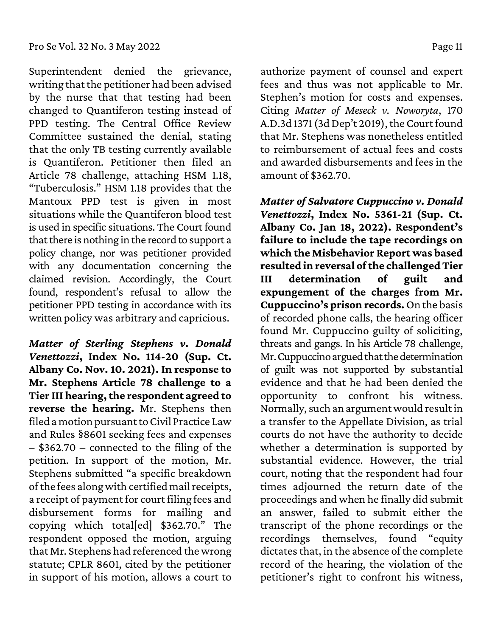Superintendent denied the grievance, writing that the petitioner had been advised by the nurse that that testing had been changed to Quantiferon testing instead of PPD testing. The Central Office Review Committee sustained the denial, stating that the only TB testing currently available is Quantiferon. Petitioner then filed an Article 78 challenge, attaching HSM 1.18, "Tuberculosis." HSM 1.18 provides that the Mantoux PPD test is given in most situations while the Quantiferon blood test is used in specific situations. The Court found that there is nothing in the record to support a policy change, nor was petitioner provided with any documentation concerning the claimed revision. Accordingly, the Court found, respondent's refusal to allow the petitioner PPD testing in accordance with its written policy was arbitrary and capricious.

*Matter of Sterling Stephens v. Donald Venettozzi***, Index No. 114-20 (Sup. Ct. Albany Co. Nov. 10. 2021). In response to Mr. Stephens Article 78 challenge to a Tier III hearing, the respondent agreed to reverse the hearing.** Mr. Stephens then filed a motion pursuant to Civil Practice Law and Rules §8601 seeking fees and expenses – \$362.70 – connected to the filing of the petition. In support of the motion, Mr. Stephens submitted "a specific breakdown of the fees along with certified mail receipts, a receipt of payment for court filing fees and disbursement forms for mailing and copying which total[ed] \$362.70." The respondent opposed the motion, arguing that Mr. Stephens had referenced the wrong statute; CPLR 8601, cited by the petitioner in support of his motion, allows a court to

authorize payment of counsel and expert fees and thus was not applicable to Mr. Stephen's motion for costs and expenses. Citing *Matter of Meseck v. Noworyta*, 170 A.D.3d 1371 (3d Dep't 2019), the Court found that Mr. Stephens was nonetheless entitled to reimbursement of actual fees and costs and awarded disbursements and fees in the amount of \$362.70.

*Matter of Salvatore Cuppuccino v. Donald Venettozzi***, Index No. 5361-21 (Sup. Ct. Albany Co. Jan 18, 2022). Respondent's failure to include the tape recordings on which the Misbehavior Report was based resulted in reversal of the challenged Tier III determination of guilt and expungement of the charges from Mr. Cuppuccino's prison records.** On the basis of recorded phone calls, the hearing officer found Mr. Cuppuccino guilty of soliciting, threats and gangs. In his Article 78 challenge, Mr. Cuppuccino argued that the determination of guilt was not supported by substantial evidence and that he had been denied the opportunity to confront his witness. Normally, such an argument would result in a transfer to the Appellate Division, as trial courts do not have the authority to decide whether a determination is supported by substantial evidence. However, the trial court, noting that the respondent had four times adjourned the return date of the proceedings and when he finally did submit an answer, failed to submit either the transcript of the phone recordings or the recordings themselves, found "equity dictates that, in the absence of the complete record of the hearing, the violation of the petitioner's right to confront his witness,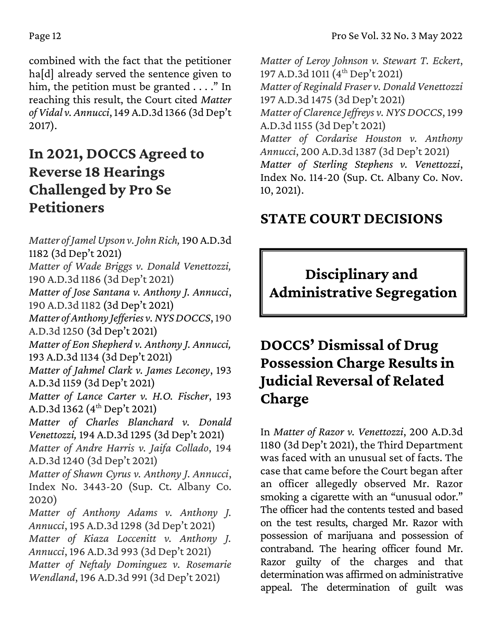combined with the fact that the petitioner ha<sup>[d]</sup> already served the sentence given to him, the petition must be granted . . . ." In reaching this result, the Court cited *Matter of Vidal v. Annucci*, 149 A.D.3d 1366 (3d Dep't 2017).

# **In 2021, DOCCS Agreed to Reverse 18 Hearings Challenged by Pro Se Petitioners**

*Matter of Jamel Upson v. John Rich,* 190 A.D.3d 1182 (3d Dep't 2021) *Matter of Wade Briggs v. Donald Venettozzi,*  190 A.D.3d 1186 (3d Dep't 2021) *Matter of Jose Santana v. Anthony J. Annucci*, 190 A.D.3d 1182 (3d Dep't 2021) *Matter of Anthony Jefferies v. NYS DOCCS*, 190 A.D.3d 1250 (3d Dep't 2021) *Matter of Eon Shepherd v. Anthony J. Annucci,* 193 A.D.3d 1134 (3d Dep't 2021) *Matter of Jahmel Clark v. James Leconey*, 193 A.D.3d 1159 (3d Dep't 2021) *Matter of Lance Carter v. H.O. Fischer*, 193 A.D.3d 1362 (4<sup>th</sup> Dep't 2021) *Matter of Charles Blanchard v. Donald Venettozzi,* 194 A.D.3d 1295 (3d Dep't 2021) *Matter of Andre Harris v. Jaifa Collado*, 194 A.D.3d 1240 (3d Dep't 2021) *Matter of Shawn Cyrus v. Anthony J. Annucci*, Index No. 3443-20 (Sup. Ct. Albany Co. 2020) *Matter of Anthony Adams v. Anthony J. Annucci*, 195 A.D.3d 1298 (3d Dep't 2021) *Matter of Kiaza Loccenitt v. Anthony J. Annucci*, 196 A.D.3d 993 (3d Dep't 2021) *Matter of Neftaly Dominguez v. Rosemarie Wendland*, 196 A.D.3d 991 (3d Dep't 2021)

*Matter of Leroy Johnson v. Stewart T. Eckert*, 197 A.D.3d 1011 (4<sup>th</sup> Dep't 2021) *Matter of Reginald Fraser v. Donald Venettozzi* 197 A.D.3d 1475 (3d Dep't 2021) *Matter of Clarence Jeffreys v. NYS DOCCS*, 199 A.D.3d 1155 (3d Dep't 2021) *Matter of Cordarise Houston v. Anthony Annucci*, 200 A.D.3d 1387 (3d Dep't 2021) *Matter of Sterling Stephens v. Venettozzi*, Index No. 114-20 (Sup. Ct. Albany Co. Nov. 10, 2021).

### **STATE COURT DECISIONS**

**Disciplinary and Administrative Segregation**

# **DOCCS' Dismissal of Drug Possession Charge Results in Judicial Reversal of Related Charge**

In *Matter of Razor v. Venettozzi*, 200 A.D.3d 1180 (3d Dep't 2021), the Third Department was faced with an unusual set of facts. The case that came before the Court began after an officer allegedly observed Mr. Razor smoking a cigarette with an "unusual odor." The officer had the contents tested and based on the test results, charged Mr. Razor with possession of marijuana and possession of contraband. The hearing officer found Mr. Razor guilty of the charges and that determination was affirmed on administrative appeal. The determination of guilt was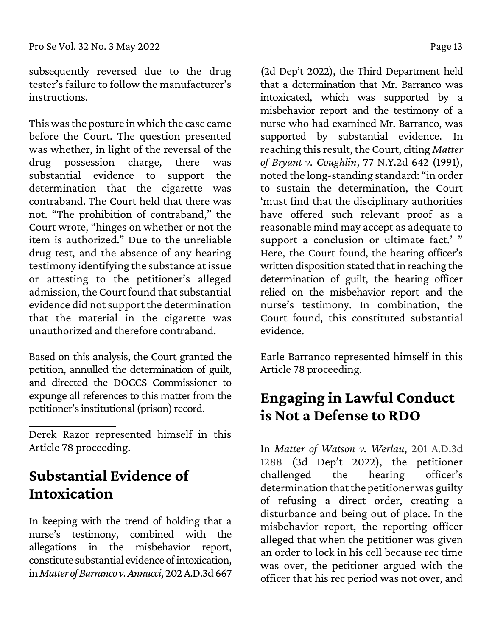subsequently reversed due to the drug tester's failure to follow the manufacturer's instructions.

This was the posture in which the case came before the Court. The question presented was whether, in light of the reversal of the drug possession charge, there was substantial evidence to support the determination that the cigarette was contraband. The Court held that there was not. "The prohibition of contraband," the Court wrote, "hinges on whether or not the item is authorized." Due to the unreliable drug test, and the absence of any hearing testimony identifying the substance at issue or attesting to the petitioner's alleged admission, the Court found that substantial evidence did not support the determination that the material in the cigarette was unauthorized and therefore contraband.

Based on this analysis, the Court granted the petition, annulled the determination of guilt, and directed the DOCCS Commissioner to expunge all references to this matter from the petitioner's institutional (prison) record.

Derek Razor represented himself in this Article 78 proceeding.

# **Substantial Evidence of Intoxication**

In keeping with the trend of holding that a nurse's testimony, combined with the allegations in the misbehavior report, constitute substantial evidence of intoxication, in *Matter of Barranco v. Annucci*, 202 A.D.3d 667

(2d Dep't 2022), the Third Department held that a determination that Mr. Barranco was intoxicated, which was supported by a misbehavior report and the testimony of a nurse who had examined Mr. Barranco, was supported by substantial evidence. In reaching this result, the Court, citing *Matter of Bryant v. Coughlin*, 77 N.Y.2d 642 (1991), noted the long-standing standard: "in order to sustain the determination, the Court 'must find that the disciplinary authorities have offered such relevant proof as a reasonable mind may accept as adequate to support a conclusion or ultimate fact.' " Here, the Court found, the hearing officer's written disposition stated that in reaching the determination of guilt, the hearing officer relied on the misbehavior report and the nurse's testimony. In combination, the Court found, this constituted substantial evidence.

Earle Barranco represented himself in this Article 78 proceeding.

# **Engaging in Lawful Conduct is Not a Defense to RDO**

In *Matter of Watson v. Werlau*, 201 A.D.3d 1288 (3d Dep't 2022), the petitioner challenged the hearing officer's determination that the petitioner was guilty of refusing a direct order, creating a disturbance and being out of place. In the misbehavior report, the reporting officer alleged that when the petitioner was given an order to lock in his cell because rec time was over, the petitioner argued with the officer that his rec period was not over, and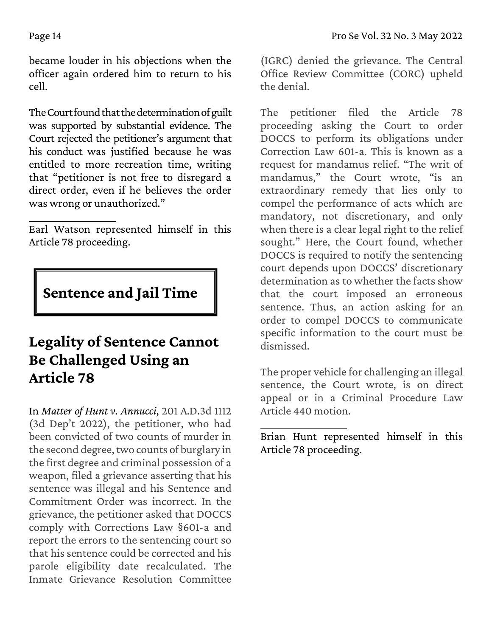became louder in his objections when the officer again ordered him to return to his cell.

The Court found that the determination of guilt was supported by substantial evidence. The Court rejected the petitioner's argument that his conduct was justified because he was entitled to more recreation time, writing that "petitioner is not free to disregard a direct order, even if he believes the order was wrong or unauthorized."

Earl Watson represented himself in this Article 78 proceeding.

## **Sentence and Jail Time**

## **Legality of Sentence Cannot Be Challenged Using an Article 78**

In *Matter of Hunt v. Annucci*, 201 A.D.3d 1112 (3d Dep't 2022), the petitioner, who had been convicted of two counts of murder in the second degree, two counts of burglary in the first degree and criminal possession of a weapon, filed a grievance asserting that his sentence was illegal and his Sentence and Commitment Order was incorrect. In the grievance, the petitioner asked that DOCCS comply with Corrections Law §601-a and report the errors to the sentencing court so that his sentence could be corrected and his parole eligibility date recalculated. The Inmate Grievance Resolution Committee

(IGRC) denied the grievance. The Central Office Review Committee (CORC) upheld the denial.

The petitioner filed the Article 78 proceeding asking the Court to order DOCCS to perform its obligations under Correction Law 601-a. This is known as a request for mandamus relief. "The writ of mandamus," the Court wrote, "is an extraordinary remedy that lies only to compel the performance of acts which are mandatory, not discretionary, and only when there is a clear legal right to the relief sought." Here, the Court found, whether DOCCS is required to notify the sentencing court depends upon DOCCS' discretionary determination as to whether the facts show that the court imposed an erroneous sentence. Thus, an action asking for an order to compel DOCCS to communicate specific information to the court must be dismissed.

The proper vehicle for challenging an illegal sentence, the Court wrote, is on direct appeal or in a Criminal Procedure Law Article 440 motion.

Brian Hunt represented himself in this Article 78 proceeding.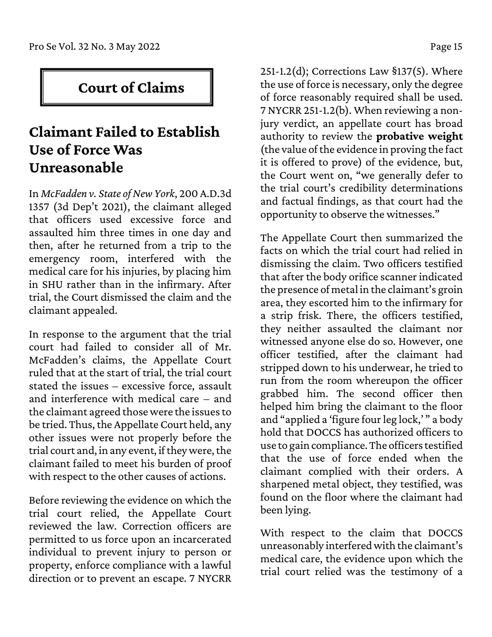### **Court of Claims**

### **Claimant Failed to Establish Use of Force Was Unreasonable**

In *McFadden v. State of New York*, 200 A.D.3d 1357 (3d Dep't 2021), the claimant alleged that officers used excessive force and assaulted him three times in one day and then, after he returned from a trip to the emergency room, interfered with the medical care for his injuries, by placing him in SHU rather than in the infirmary. After trial, the Court dismissed the claim and the claimant appealed.

In response to the argument that the trial court had failed to consider all of Mr. McFadden's claims, the Appellate Court ruled that at the start of trial, the trial court stated the issues – excessive force, assault and interference with medical care – and the claimant agreed those were the issues to be tried. Thus, the Appellate Court held, any other issues were not properly before the trial court and, in any event, if they were, the claimant failed to meet his burden of proof with respect to the other causes of actions.

Before reviewing the evidence on which the trial court relied, the Appellate Court reviewed the law. Correction officers are permitted to us force upon an incarcerated individual to prevent injury to person or property, enforce compliance with a lawful direction or to prevent an escape. 7 NYCRR

251-1.2(d); Corrections Law §137(5). Where the use of force is necessary, only the degree of force reasonably required shall be used. 7 NYCRR 251-1.2(b). When reviewing a nonjury verdict, an appellate court has broad authority to review the **probative weight** (the value of the evidence in proving the fact it is offered to prove) of the evidence, but, the Court went on, "we generally defer to the trial court's credibility determinations and factual findings, as that court had the opportunity to observe the witnesses."

The Appellate Court then summarized the facts on which the trial court had relied in dismissing the claim. Two officers testified that after the body orifice scanner indicated the presence of metal in the claimant's groin area, they escorted him to the infirmary for a strip frisk. There, the officers testified, they neither assaulted the claimant nor witnessed anyone else do so. However, one officer testified, after the claimant had stripped down to his underwear, he tried to run from the room whereupon the officer grabbed him. The second officer then helped him bring the claimant to the floor and "applied a 'figure four leg lock,' " a body hold that DOCCS has authorized officers to use to gain compliance. The officers testified that the use of force ended when the claimant complied with their orders. A sharpened metal object, they testified, was found on the floor where the claimant had been lying.

With respect to the claim that DOCCS unreasonably interfered with the claimant's medical care, the evidence upon which the trial court relied was the testimony of a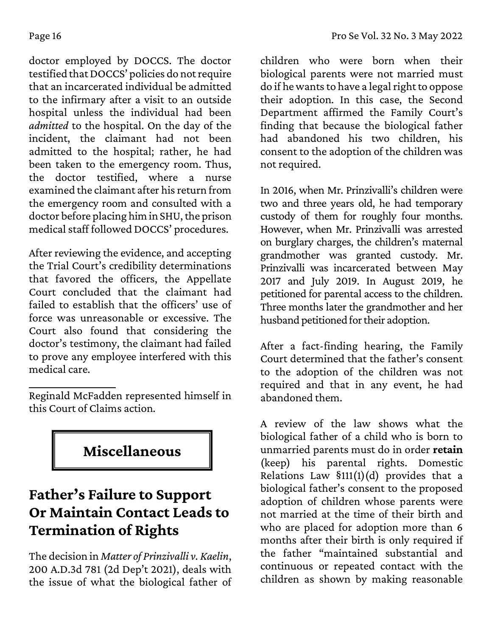doctor employed by DOCCS. The doctor testified that DOCCS' policies do not require that an incarcerated individual be admitted to the infirmary after a visit to an outside hospital unless the individual had been *admitted* to the hospital. On the day of the incident, the claimant had not been admitted to the hospital; rather, he had been taken to the emergency room. Thus, the doctor testified, where a nurse examined the claimant after his return from the emergency room and consulted with a doctor before placing him in SHU, the prison medical staff followed DOCCS' procedures.

After reviewing the evidence, and accepting the Trial Court's credibility determinations that favored the officers, the Appellate Court concluded that the claimant had failed to establish that the officers' use of force was unreasonable or excessive. The Court also found that considering the doctor's testimony, the claimant had failed to prove any employee interfered with this medical care.

Reginald McFadden represented himself in this Court of Claims action.



# **Father's Failure to Support Or Maintain Contact Leads to Termination of Rights**

The decision in *Matter of Prinzivalli v. Kaelin*, 200 A.D.3d 781 (2d Dep't 2021), deals with the issue of what the biological father of

children who were born when their biological parents were not married must do if he wants to have a legal right to oppose their adoption. In this case, the Second Department affirmed the Family Court's finding that because the biological father had abandoned his two children, his consent to the adoption of the children was not required.

In 2016, when Mr. Prinzivalli's children were two and three years old, he had temporary custody of them for roughly four months. However, when Mr. Prinzivalli was arrested on burglary charges, the children's maternal grandmother was granted custody. Mr. Prinzivalli was incarcerated between May 2017 and July 2019. In August 2019, he petitioned for parental access to the children. Three months later the grandmother and her husband petitioned for their adoption.

After a fact-finding hearing, the Family Court determined that the father's consent to the adoption of the children was not required and that in any event, he had abandoned them.

A review of the law shows what the biological father of a child who is born to unmarried parents must do in order **retain** (keep) his parental rights. Domestic Relations Law  $$111(1)(d)$  provides that a biological father's consent to the proposed adoption of children whose parents were not married at the time of their birth and who are placed for adoption more than 6 months after their birth is only required if the father "maintained substantial and continuous or repeated contact with the children as shown by making reasonable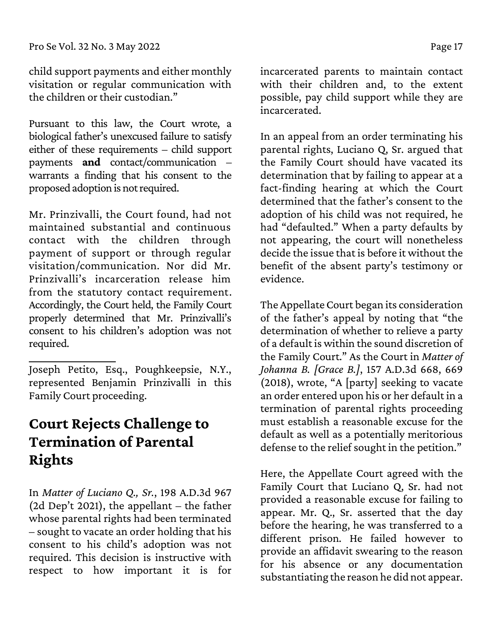child support payments and either monthly visitation or regular communication with the children or their custodian."

Pursuant to this law, the Court wrote, a biological father's unexcused failure to satisfy either of these requirements – child support payments **and** contact/communication – warrants a finding that his consent to the proposed adoption is not required.

Mr. Prinzivalli, the Court found, had not maintained substantial and continuous contact with the children through payment of support or through regular visitation/communication. Nor did Mr. Prinzivalli's incarceration release him from the statutory contact requirement. Accordingly, the Court held, the Family Court properly determined that Mr. Prinzivalli's consent to his children's adoption was not required.

## **Court Rejects Challenge to Termination of Parental Rights**

In *Matter of Luciano Q., Sr.*, 198 A.D.3d 967 (2d Dep't 2021), the appellant – the father whose parental rights had been terminated – sought to vacate an order holding that his consent to his child's adoption was not required. This decision is instructive with respect to how important it is for

incarcerated parents to maintain contact with their children and, to the extent possible, pay child support while they are incarcerated.

In an appeal from an order terminating his parental rights, Luciano Q, Sr. argued that the Family Court should have vacated its determination that by failing to appear at a fact-finding hearing at which the Court determined that the father's consent to the adoption of his child was not required, he had "defaulted." When a party defaults by not appearing, the court will nonetheless decide the issue that is before it without the benefit of the absent party's testimony or evidence.

The Appellate Court began its consideration of the father's appeal by noting that "the determination of whether to relieve a party of a default is within the sound discretion of the Family Court." As the Court in *Matter of Johanna B. [Grace B.]*, 157 A.D.3d 668, 669 (2018), wrote, "A [party] seeking to vacate an order entered upon his or her default in a termination of parental rights proceeding must establish a reasonable excuse for the default as well as a potentially meritorious defense to the relief sought in the petition."

Here, the Appellate Court agreed with the Family Court that Luciano Q, Sr. had not provided a reasonable excuse for failing to appear. Mr. Q., Sr. asserted that the day before the hearing, he was transferred to a different prison. He failed however to provide an affidavit swearing to the reason for his absence or any documentation substantiating the reason he did not appear.

Joseph Petito, Esq., Poughkeepsie, N.Y., represented Benjamin Prinzivalli in this Family Court proceeding.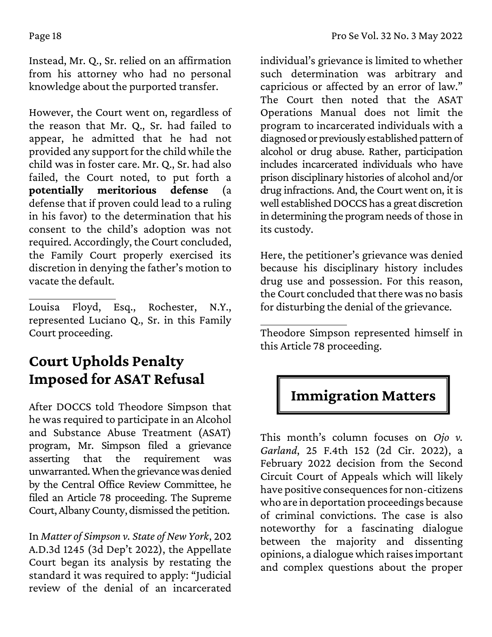Instead, Mr. Q., Sr. relied on an affirmation from his attorney who had no personal knowledge about the purported transfer.

However, the Court went on, regardless of the reason that Mr. Q., Sr. had failed to appear, he admitted that he had not provided any support for the child while the child was in foster care. Mr. Q., Sr. had also failed, the Court noted, to put forth a **potentially meritorious defense** (a defense that if proven could lead to a ruling in his favor) to the determination that his consent to the child's adoption was not required. Accordingly, the Court concluded, the Family Court properly exercised its discretion in denying the father's motion to vacate the default.

Louisa Floyd, Esq., Rochester, N.Y., represented Luciano Q., Sr. in this Family Court proceeding.

# **Court Upholds Penalty Imposed for ASAT Refusal**

After DOCCS told Theodore Simpson that he was required to participate in an Alcohol and Substance Abuse Treatment (ASAT) program, Mr. Simpson filed a grievance asserting that the requirement was unwarranted. When the grievance was denied by the Central Office Review Committee, he filed an Article 78 proceeding. The Supreme Court, Albany County, dismissed the petition.

In *Matter of Simpson v. State of New York*, 202 A.D.3d 1245 (3d Dep't 2022), the Appellate Court began its analysis by restating the standard it was required to apply: "Judicial review of the denial of an incarcerated

individual's grievance is limited to whether such determination was arbitrary and capricious or affected by an error of law." The Court then noted that the ASAT Operations Manual does not limit the program to incarcerated individuals with a diagnosed or previously established pattern of alcohol or drug abuse. Rather, participation includes incarcerated individuals who have prison disciplinary histories of alcohol and/or drug infractions. And, the Court went on, it is well established DOCCS has a great discretion in determining the program needs of those in its custody.

Here, the petitioner's grievance was denied because his disciplinary history includes drug use and possession. For this reason, the Court concluded that there was no basis for disturbing the denial of the grievance.

Theodore Simpson represented himself in this Article 78 proceeding.

# **Immigration Matters**

This month's column focuses on *Ojo v. Garland*, 25 F.4th 152 (2d Cir. 2022), a February 2022 decision from the Second Circuit Court of Appeals which will likely have positive consequences for non-citizens who are in deportation proceedings because of criminal convictions. The case is also noteworthy for a fascinating dialogue between the majority and dissenting opinions, a dialogue which raises important and complex questions about the proper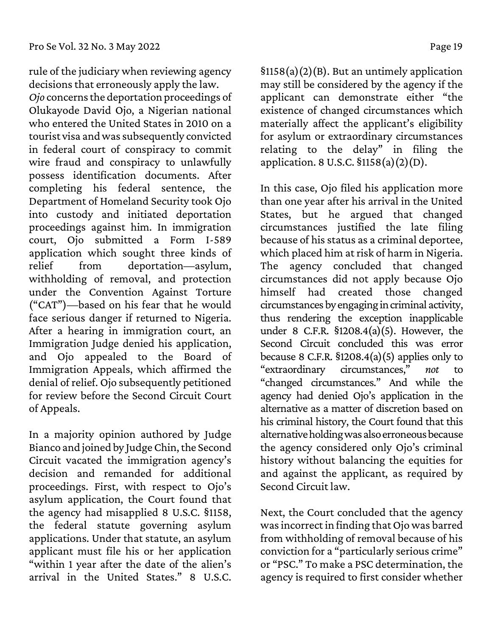rule of the judiciary when reviewing agency decisions that erroneously apply the law. *Ojo* concerns the deportation proceedings of Olukayode David Ojo, a Nigerian national who entered the United States in 2010 on a tourist visa and was subsequently convicted in federal court of conspiracy to commit wire fraud and conspiracy to unlawfully possess identification documents. After completing his federal sentence, the Department of Homeland Security took Ojo into custody and initiated deportation proceedings against him. In immigration court, Ojo submitted a Form I-589 application which sought three kinds of relief from deportation—asylum, withholding of removal, and protection under the Convention Against Torture ("CAT")—based on his fear that he would face serious danger if returned to Nigeria. After a hearing in immigration court, an Immigration Judge denied his application, and Ojo appealed to the Board of Immigration Appeals, which affirmed the denial of relief. Ojo subsequently petitioned for review before the Second Circuit Court of Appeals.

In a majority opinion authored by Judge Bianco and joined by Judge Chin, the Second Circuit vacated the immigration agency's decision and remanded for additional proceedings. First, with respect to Ojo's asylum application, the Court found that the agency had misapplied 8 U.S.C. §1158, the federal statute governing asylum applications. Under that statute, an asylum applicant must file his or her application "within 1 year after the date of the alien's arrival in the United States." 8 U.S.C.

 $$1158(a)(2)(B)$ . But an untimely application may still be considered by the agency if the applicant can demonstrate either "the existence of changed circumstances which materially affect the applicant's eligibility for asylum or extraordinary circumstances relating to the delay" in filing the application. 8 U.S.C. §1158(a)(2)(D).

In this case, Ojo filed his application more than one year after his arrival in the United States, but he argued that changed circumstances justified the late filing because of his status as a criminal deportee, which placed him at risk of harm in Nigeria. The agency concluded that changed circumstances did not apply because Ojo himself had created those changed circumstances by engaging in criminal activity, thus rendering the exception inapplicable under 8 C.F.R. §1208.4(a)(5). However, the Second Circuit concluded this was error because 8 C.F.R.  $$1208.4(a)(5)$  applies only to "extraordinary circumstances," *not* to "changed circumstances." And while the agency had denied Ojo's application in the alternative as a matter of discretion based on his criminal history, the Court found that this alternative holding was also erroneous because the agency considered only Ojo's criminal history without balancing the equities for and against the applicant, as required by Second Circuit law.

Next, the Court concluded that the agency was incorrect in finding that Ojo was barred from withholding of removal because of his conviction for a "particularly serious crime" or "PSC." To make a PSC determination, the agency is required to first consider whether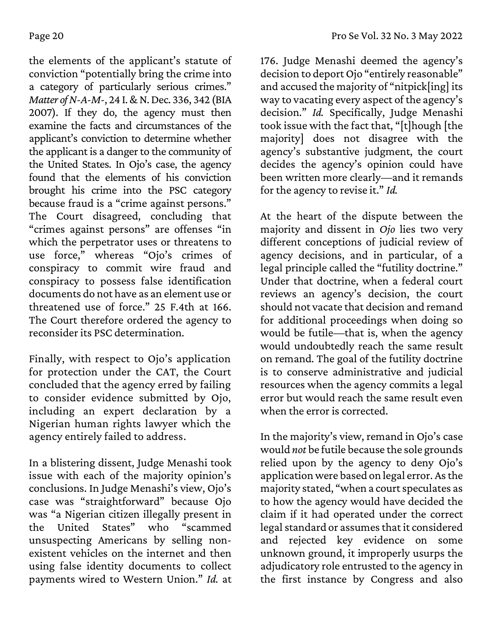the elements of the applicant's statute of conviction "potentially bring the crime into a category of particularly serious crimes." *Matter of N-A-M-*, 24 I. & N. Dec. 336, 342 (BIA 2007). If they do, the agency must then examine the facts and circumstances of the applicant's conviction to determine whether the applicant is a danger to the community of the United States. In Ojo's case, the agency found that the elements of his conviction brought his crime into the PSC category because fraud is a "crime against persons." The Court disagreed, concluding that "crimes against persons" are offenses "in which the perpetrator uses or threatens to use force," whereas "Ojo's crimes of conspiracy to commit wire fraud and conspiracy to possess false identification documents do not have as an element use or threatened use of force." 25 F.4th at 166. The Court therefore ordered the agency to reconsider its PSC determination.

Finally, with respect to Ojo's application for protection under the CAT, the Court concluded that the agency erred by failing to consider evidence submitted by Ojo, including an expert declaration by a Nigerian human rights lawyer which the agency entirely failed to address.

In a blistering dissent, Judge Menashi took issue with each of the majority opinion's conclusions. In Judge Menashi's view, Ojo's case was "straightforward" because Ojo was "a Nigerian citizen illegally present in the United States" who "scammed unsuspecting Americans by selling nonexistent vehicles on the internet and then using false identity documents to collect payments wired to Western Union." *Id.* at

176. Judge Menashi deemed the agency's decision to deport Ojo "entirely reasonable" and accused the majority of "nitpick[ing] its way to vacating every aspect of the agency's decision." *Id.* Specifically, Judge Menashi took issue with the fact that, "[t]hough [the majority] does not disagree with the agency's substantive judgment, the court decides the agency's opinion could have been written more clearly—and it remands for the agency to revise it." *Id.* 

At the heart of the dispute between the majority and dissent in *Ojo* lies two very different conceptions of judicial review of agency decisions, and in particular, of a legal principle called the "futility doctrine." Under that doctrine, when a federal court reviews an agency's decision, the court should not vacate that decision and remand for additional proceedings when doing so would be futile—that is, when the agency would undoubtedly reach the same result on remand. The goal of the futility doctrine is to conserve administrative and judicial resources when the agency commits a legal error but would reach the same result even when the error is corrected.

In the majority's view, remand in Ojo's case would *not* be futile because the sole grounds relied upon by the agency to deny Ojo's application were based on legal error. As the majority stated, "when a court speculates as to how the agency would have decided the claim if it had operated under the correct legal standard or assumes that it considered and rejected key evidence on some unknown ground, it improperly usurps the adjudicatory role entrusted to the agency in the first instance by Congress and also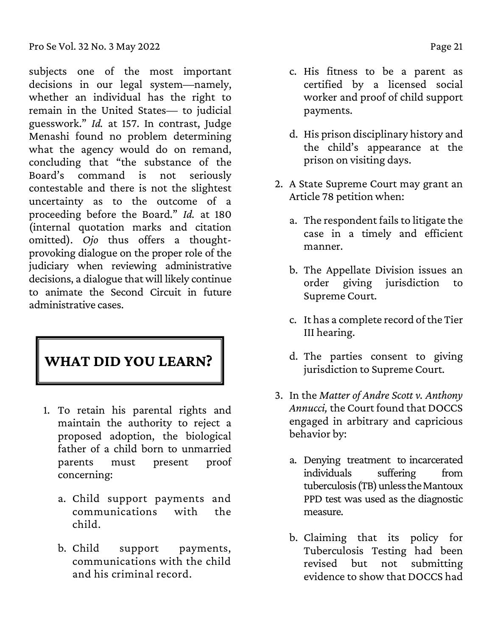subjects one of the most important decisions in our legal system—namely, whether an individual has the right to remain in the United States— to judicial guesswork." *Id.* at 157. In contrast, Judge Menashi found no problem determining what the agency would do on remand, concluding that "the substance of the Board's command is not seriously contestable and there is not the slightest uncertainty as to the outcome of a proceeding before the Board." *Id.* at 180 (internal quotation marks and citation omitted). *Ojo* thus offers a thoughtprovoking dialogue on the proper role of the judiciary when reviewing administrative decisions, a dialogue that will likely continue to animate the Second Circuit in future administrative cases.

### **WHAT DID YOU LEARN?**

- 1. To retain his parental rights and maintain the authority to reject a proposed adoption, the biological father of a child born to unmarried parents must present proof concerning:
	- a. Child support payments and communications with the child.
	- b. Child support payments, communications with the child and his criminal record.
- c. His fitness to be a parent as certified by a licensed social worker and proof of child support payments.
- d. His prison disciplinary history and the child's appearance at the prison on visiting days.
- 2. A State Supreme Court may grant an Article 78 petition when:
	- a. The respondent fails to litigate the case in a timely and efficient manner.
	- b. The Appellate Division issues an order giving jurisdiction to Supreme Court.
	- c. It has a complete record of the Tier III hearing.
	- d. The parties consent to giving jurisdiction to Supreme Court.
- 3. In the *Matter of Andre Scott v. Anthony Annucci,* the Court found that DOCCS engaged in arbitrary and capricious behavior by:
	- a. Denying treatment to incarcerated individuals suffering from tuberculosis (TB) unless the Mantoux PPD test was used as the diagnostic measure.
	- b. Claiming that its policy for Tuberculosis Testing had been revised but not submitting evidence to show that DOCCS had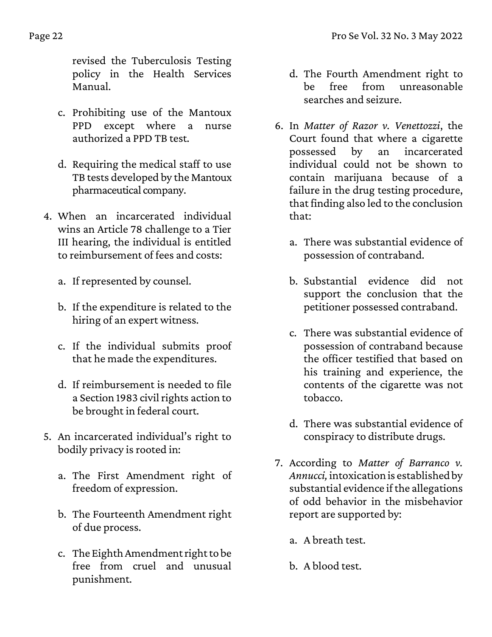revised the Tuberculosis Testing policy in the Health Services Manual.

- c. Prohibiting use of the Mantoux PPD except where a nurse authorized a PPD TB test.
- d. Requiring the medical staff to use TB tests developed by the Mantoux pharmaceutical company.
- 4. When an incarcerated individual wins an Article 78 challenge to a Tier III hearing, the individual is entitled to reimbursement of fees and costs:
	- a. If represented by counsel.
	- b. If the expenditure is related to the hiring of an expert witness.
	- c. If the individual submits proof that he made the expenditures.
	- d. If reimbursement is needed to file a Section 1983 civil rights action to be brought in federal court.
- 5. An incarcerated individual's right to bodily privacy is rooted in:
	- a. The First Amendment right of freedom of expression.
	- b. The Fourteenth Amendment right of due process.
	- c. The Eighth Amendment right to be free from cruel and unusual punishment.
- d. The Fourth Amendment right to be free from unreasonable searches and seizure.
- 6. In *Matter of Razor v. Venettozzi*, the Court found that where a cigarette possessed by an incarcerated individual could not be shown to contain marijuana because of a failure in the drug testing procedure, that finding also led to the conclusion that:
	- a. There was substantial evidence of possession of contraband.
	- b. Substantial evidence did not support the conclusion that the petitioner possessed contraband.
	- c. There was substantial evidence of possession of contraband because the officer testified that based on his training and experience, the contents of the cigarette was not tobacco.
	- d. There was substantial evidence of conspiracy to distribute drugs.
- 7. According to *Matter of Barranco v. Annucci,* intoxication is established by substantial evidence if the allegations of odd behavior in the misbehavior report are supported by:
	- a. A breath test.
	- b. A blood test.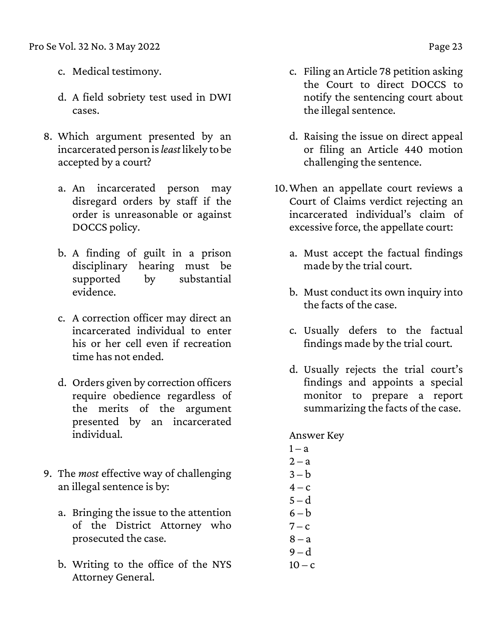- c. Medical testimony.
- d. A field sobriety test used in DWI cases.
- 8. Which argument presented by an incarcerated person is *least* likely to be accepted by a court?
	- a. An incarcerated person may disregard orders by staff if the order is unreasonable or against DOCCS policy.
	- b. A finding of guilt in a prison disciplinary hearing must be supported by substantial evidence.
	- c. A correction officer may direct an incarcerated individual to enter his or her cell even if recreation time has not ended.
	- d. Orders given by correction officers require obedience regardless of the merits of the argument presented by an incarcerated individual.
- 9. The *most* effective way of challenging an illegal sentence is by:
	- a. Bringing the issue to the attention of the District Attorney who prosecuted the case.
	- b. Writing to the office of the NYS Attorney General.
- c. Filing an Article 78 petition asking the Court to direct DOCCS to notify the sentencing court about the illegal sentence.
- d. Raising the issue on direct appeal or filing an Article 440 motion challenging the sentence.
- 10.When an appellate court reviews a Court of Claims verdict rejecting an incarcerated individual's claim of excessive force, the appellate court:
	- a. Must accept the factual findings made by the trial court.
	- b. Must conduct its own inquiry into the facts of the case.
	- c. Usually defers to the factual findings made by the trial court.
	- d. Usually rejects the trial court's findings and appoints a special monitor to prepare a report summarizing the facts of the case.

Answer Key

 $1 - a$  $2 - a$  $3 - b$  $4 - c$  $5-d$  $6 - b$  $7 - c$  $8 - a$  $9 - d$  $10 - c$